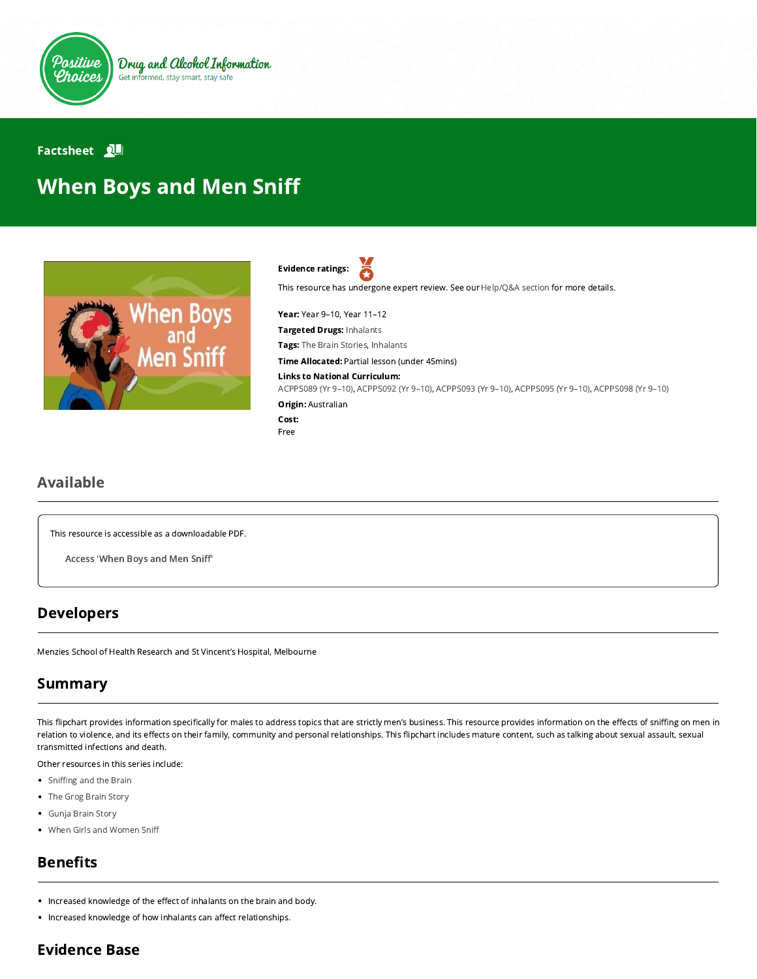

#### **Factsheet**

# When Boys and Men Sni



č Evidence ratings:

This resource has undergone expert review. See our [Help/Q&A section](https://positivechoices.org.au/help/questions-and-answers/) for more details.

Year: Year 9–10, Year 11–12

Targeted Drugs: Inhalants

Tags: The Brain Stories, Inhalants

Time Allocated: Partial lesson (under 45mins)

#### Links to National Curriculum:

[ACPPS089 \(Yr 9–10\),](http://www.australiancurriculum.edu.au/Curriculum/ContentDescription/ACPPS089) [ACPPS092 \(Yr 9–10\),](http://www.australiancurriculum.edu.au/Curriculum/ContentDescription/ACPPS092) [ACPPS093 \(Yr 9–10\),](http://www.australiancurriculum.edu.au/Curriculum/ContentDescription/ACPPS093) [ACPPS095 \(Yr 9–10\)](http://www.australiancurriculum.edu.au/Curriculum/ContentDescription/ACPPS095), [ACPPS098 \(Yr 9–10\)](http://www.australiancurriculum.edu.au/Curriculum/ContentDescription/ACPPS098) Origin: Australian

```
Cost:
Free
```
## Available

This resource is accessible as a downloadable PDF.

[Access](https://www.menzies.edu.au/icms_docs/162350_When_boys_and_men_sniff.pdf) 'When Boys and Men Sniff'

### Developers

Menzies School of Health Research and St Vincent's Hospital, Melbourne

# Summary

This flipchart provides information specifically for males to address topics that are strictly men's business. This resource provides information on the effects of sniffing on men in relation to violence, and its effects on their family, community and personal relationships. This flipchart includes mature content, such as talking about sexual assault, sexual transmitted infections and death.

Other resources in this series include:

- Sniffing and the Brain
- [The Grog Brain Story](https://positivechoices.org.au/teachers/grog-brain-story)
- [Gunja Brain Story](https://positivechoices.org.au/teachers/gunja-brain-story)
- [When Girls and Women Sni](https://positivechoices.org.au/teachers/when-girls-and-women-sniff)

# **Benefits**

- Increased knowledge of the effect of inhalants on the brain and body.
- Increased knowledge of how inhalants can affect relationships.

# Evidence Base